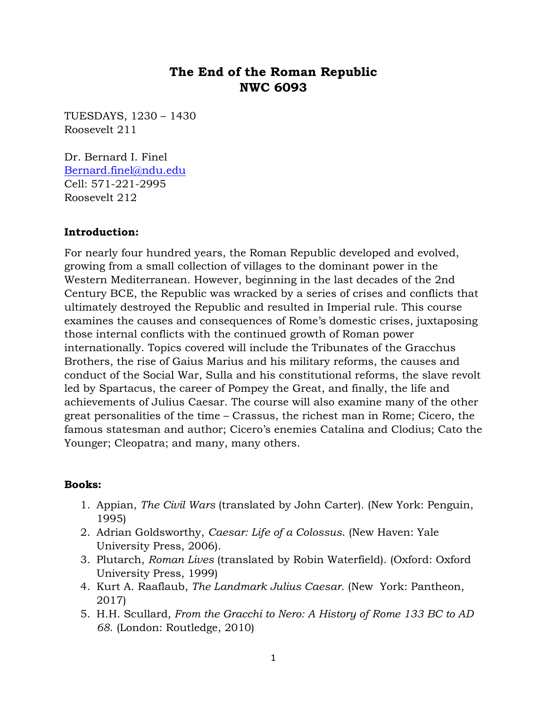# **The End of the Roman Republic NWC 6093**

TUESDAYS, 1230 – 1430 Roosevelt 211

Dr. Bernard I. Finel [Bernard.finel@ndu.edu](mailto:Bernard.finel@ndu.edu) Cell: 571-221-2995 Roosevelt 212

#### **Introduction:**

For nearly four hundred years, the Roman Republic developed and evolved, growing from a small collection of villages to the dominant power in the Western Mediterranean. However, beginning in the last decades of the 2nd Century BCE, the Republic was wracked by a series of crises and conflicts that ultimately destroyed the Republic and resulted in Imperial rule. This course examines the causes and consequences of Rome's domestic crises, juxtaposing those internal conflicts with the continued growth of Roman power internationally. Topics covered will include the Tribunates of the Gracchus Brothers, the rise of Gaius Marius and his military reforms, the causes and conduct of the Social War, Sulla and his constitutional reforms, the slave revolt led by Spartacus, the career of Pompey the Great, and finally, the life and achievements of Julius Caesar. The course will also examine many of the other great personalities of the time – Crassus, the richest man in Rome; Cicero, the famous statesman and author; Cicero's enemies Catalina and Clodius; Cato the Younger; Cleopatra; and many, many others.

#### **Books:**

- 1. Appian, *The Civil Wars* (translated by John Carter). (New York: Penguin, 1995)
- 2. Adrian Goldsworthy, *Caesar: Life of a Colossus*. (New Haven: Yale University Press, 2006).
- 3. Plutarch, *Roman Lives* (translated by Robin Waterfield). (Oxford: Oxford University Press, 1999)
- 4. Kurt A. Raaflaub, *The Landmark Julius Caesar*. (New York: Pantheon, 2017)
- 5. H.H. Scullard*, From the Gracchi to Nero: A History of Rome 133 BC to AD 68*. (London: Routledge, 2010)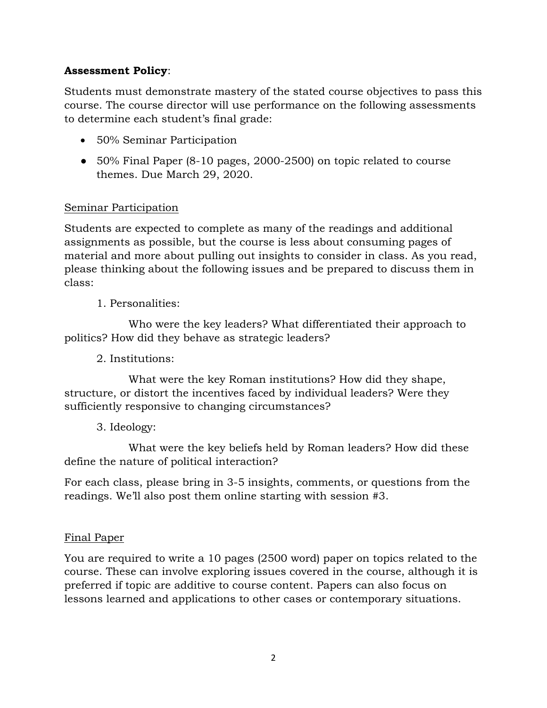## **Assessment Policy**:

Students must demonstrate mastery of the stated course objectives to pass this course. The course director will use performance on the following assessments to determine each student's final grade:

- 50% Seminar Participation
- 50% Final Paper (8-10 pages, 2000-2500) on topic related to course themes. Due March 29, 2020.

#### Seminar Participation

Students are expected to complete as many of the readings and additional assignments as possible, but the course is less about consuming pages of material and more about pulling out insights to consider in class. As you read, please thinking about the following issues and be prepared to discuss them in class:

1. Personalities:

Who were the key leaders? What differentiated their approach to politics? How did they behave as strategic leaders?

2. Institutions:

What were the key Roman institutions? How did they shape, structure, or distort the incentives faced by individual leaders? Were they sufficiently responsive to changing circumstances?

3. Ideology:

What were the key beliefs held by Roman leaders? How did these define the nature of political interaction?

For each class, please bring in 3-5 insights, comments, or questions from the readings. We'll also post them online starting with session #3.

## Final Paper

You are required to write a 10 pages (2500 word) paper on topics related to the course. These can involve exploring issues covered in the course, although it is preferred if topic are additive to course content. Papers can also focus on lessons learned and applications to other cases or contemporary situations.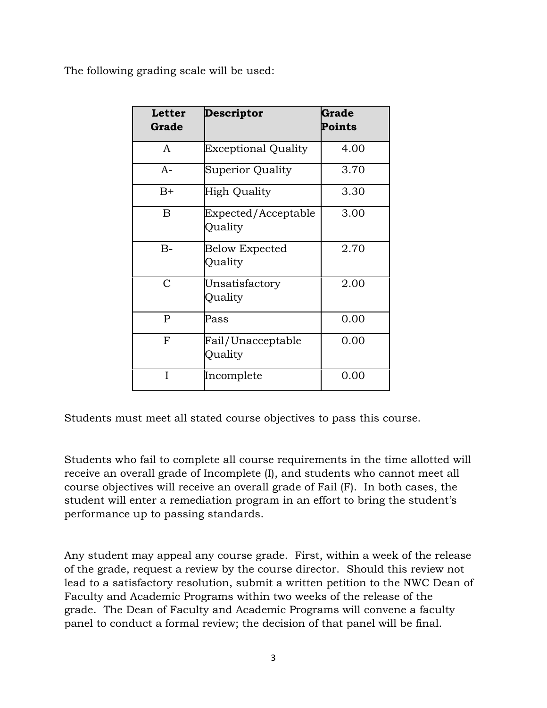The following grading scale will be used:

| <b>Letter</b><br>Grade | <b>Descriptor</b>                | Grade<br>Points |
|------------------------|----------------------------------|-----------------|
| A                      | <b>Exceptional Quality</b>       | 4.00            |
| $A-$                   | Superior Quality                 | 3.70            |
| $B+$                   | High Quality                     | 3.30            |
| B                      | Expected/Acceptable<br>Quality   | 3.00            |
| $B-$                   | <b>Below Expected</b><br>Quality | 2.70            |
| $\mathcal{C}$          | Unsatisfactory<br>Quality        | 2.00            |
| $\mathbf{P}$           | Pass                             | 0.00            |
| $\mathbf F$            | Fail/Unacceptable<br>Quality     | 0.00            |
| I                      | Incomplete                       | 0.00            |

Students must meet all stated course objectives to pass this course.

Students who fail to complete all course requirements in the time allotted will receive an overall grade of Incomplete (I), and students who cannot meet all course objectives will receive an overall grade of Fail (F). In both cases, the student will enter a remediation program in an effort to bring the student's performance up to passing standards.

Any student may appeal any course grade. First, within a week of the release of the grade, request a review by the course director. Should this review not lead to a satisfactory resolution, submit a written petition to the NWC Dean of Faculty and Academic Programs within two weeks of the release of the grade. The Dean of Faculty and Academic Programs will convene a faculty panel to conduct a formal review; the decision of that panel will be final.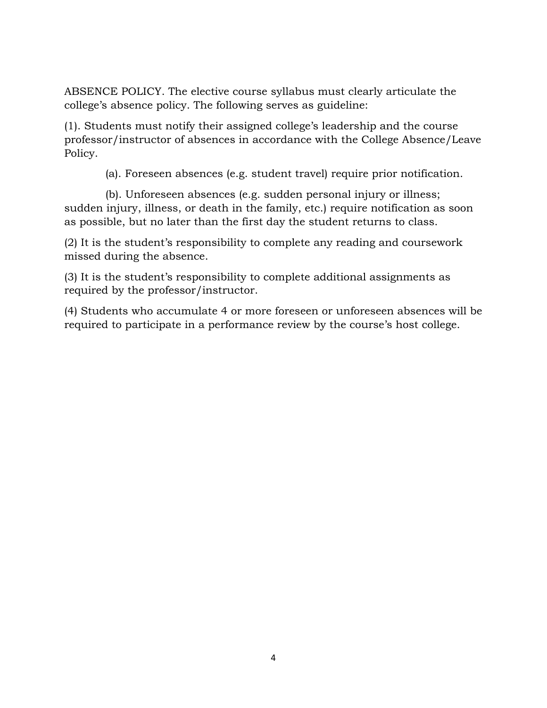ABSENCE POLICY. The elective course syllabus must clearly articulate the college's absence policy. The following serves as guideline:

(1). Students must notify their assigned college's leadership and the course professor/instructor of absences in accordance with the College Absence/Leave Policy.

(a). Foreseen absences (e.g. student travel) require prior notification.

 (b). Unforeseen absences (e.g. sudden personal injury or illness; sudden injury, illness, or death in the family, etc.) require notification as soon as possible, but no later than the first day the student returns to class.

(2) It is the student's responsibility to complete any reading and coursework missed during the absence.

(3) It is the student's responsibility to complete additional assignments as required by the professor/instructor.

(4) Students who accumulate 4 or more foreseen or unforeseen absences will be required to participate in a performance review by the course's host college.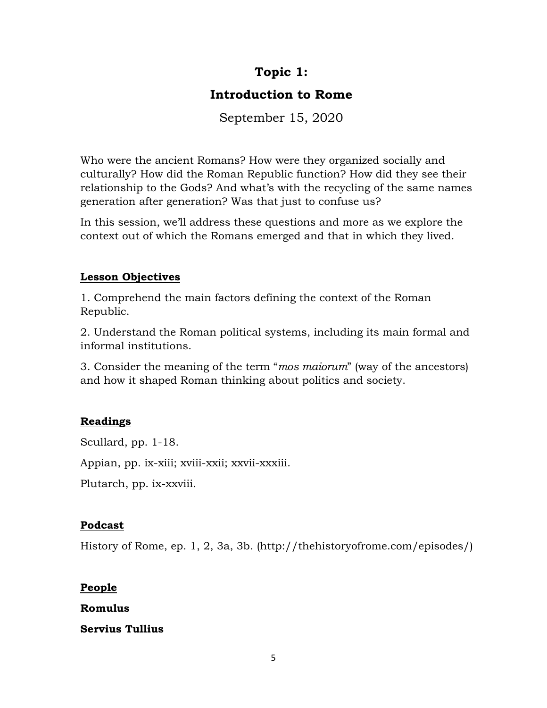# **Topic 1:**

# **Introduction to Rome**

September 15, 2020

Who were the ancient Romans? How were they organized socially and culturally? How did the Roman Republic function? How did they see their relationship to the Gods? And what's with the recycling of the same names generation after generation? Was that just to confuse us?

In this session, we'll address these questions and more as we explore the context out of which the Romans emerged and that in which they lived.

## **Lesson Objectives**

1. Comprehend the main factors defining the context of the Roman Republic.

2. Understand the Roman political systems, including its main formal and informal institutions.

3. Consider the meaning of the term "*mos maiorum*" (way of the ancestors) and how it shaped Roman thinking about politics and society.

# **Readings**

Scullard, pp. 1-18.

Appian, pp. ix-xiii; xviii-xxii; xxvii-xxxiii.

Plutarch, pp. ix-xxviii.

## **Podcast**

History of Rome, ep. 1, 2, 3a, 3b. (http://thehistoryofrome.com/episodes/)

## **People**

**Romulus**

## **Servius Tullius**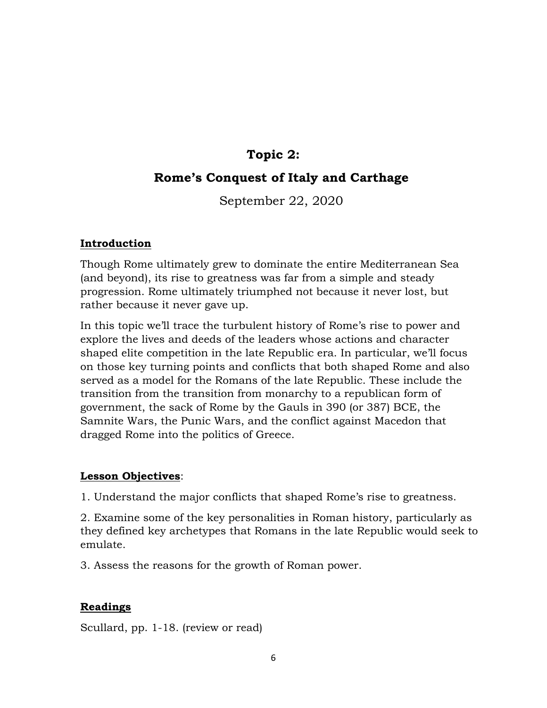# **Topic 2:**

# **Rome's Conquest of Italy and Carthage**

September 22, 2020

#### **Introduction**

Though Rome ultimately grew to dominate the entire Mediterranean Sea (and beyond), its rise to greatness was far from a simple and steady progression. Rome ultimately triumphed not because it never lost, but rather because it never gave up.

In this topic we'll trace the turbulent history of Rome's rise to power and explore the lives and deeds of the leaders whose actions and character shaped elite competition in the late Republic era. In particular, we'll focus on those key turning points and conflicts that both shaped Rome and also served as a model for the Romans of the late Republic. These include the transition from the transition from monarchy to a republican form of government, the sack of Rome by the Gauls in 390 (or 387) BCE, the Samnite Wars, the Punic Wars, and the conflict against Macedon that dragged Rome into the politics of Greece.

#### **Lesson Objectives**:

1. Understand the major conflicts that shaped Rome's rise to greatness.

2. Examine some of the key personalities in Roman history, particularly as they defined key archetypes that Romans in the late Republic would seek to emulate.

3. Assess the reasons for the growth of Roman power.

## **Readings**

Scullard, pp. 1-18. (review or read)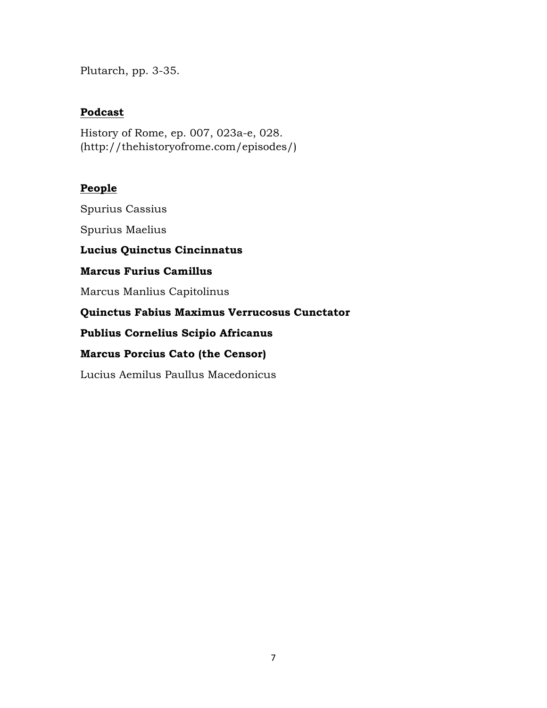Plutarch, pp. 3-35.

## **Podcast**

History of Rome, ep. 007, 023a-e, 028. (http://thehistoryofrome.com/episodes/)

#### **People**

Spurius Cassius

Spurius Maelius

**Lucius Quinctus Cincinnatus**

**Marcus Furius Camillus**

Marcus Manlius Capitolinus

**Quinctus Fabius Maximus Verrucosus Cunctator** 

**Publius Cornelius Scipio Africanus**

#### **Marcus Porcius Cato (the Censor)**

Lucius Aemilus Paullus Macedonicus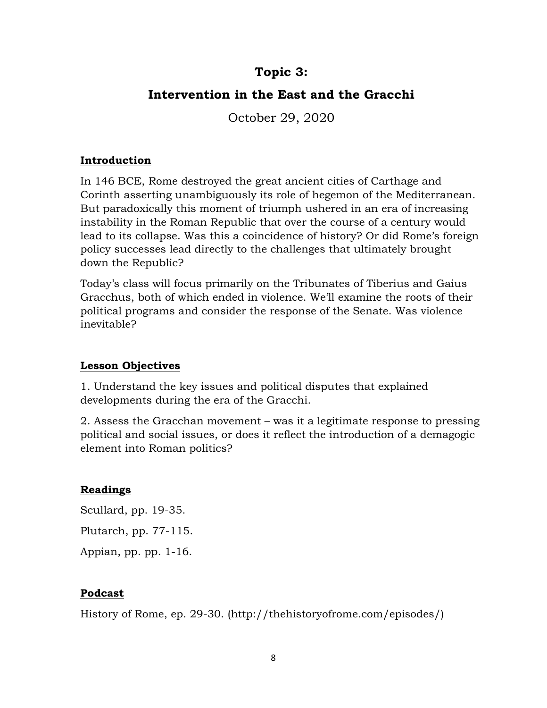# **Topic 3:**

# **Intervention in the East and the Gracchi**

October 29, 2020

## **Introduction**

In 146 BCE, Rome destroyed the great ancient cities of Carthage and Corinth asserting unambiguously its role of hegemon of the Mediterranean. But paradoxically this moment of triumph ushered in an era of increasing instability in the Roman Republic that over the course of a century would lead to its collapse. Was this a coincidence of history? Or did Rome's foreign policy successes lead directly to the challenges that ultimately brought down the Republic?

Today's class will focus primarily on the Tribunates of Tiberius and Gaius Gracchus, both of which ended in violence. We'll examine the roots of their political programs and consider the response of the Senate. Was violence inevitable?

## **Lesson Objectives**

1. Understand the key issues and political disputes that explained developments during the era of the Gracchi.

2. Assess the Gracchan movement – was it a legitimate response to pressing political and social issues, or does it reflect the introduction of a demagogic element into Roman politics?

## **Readings**

Scullard, pp. 19-35. Plutarch, pp. 77-115. Appian, pp. pp. 1-16.

## **Podcast**

History of Rome, ep. 29-30. (http://thehistoryofrome.com/episodes/)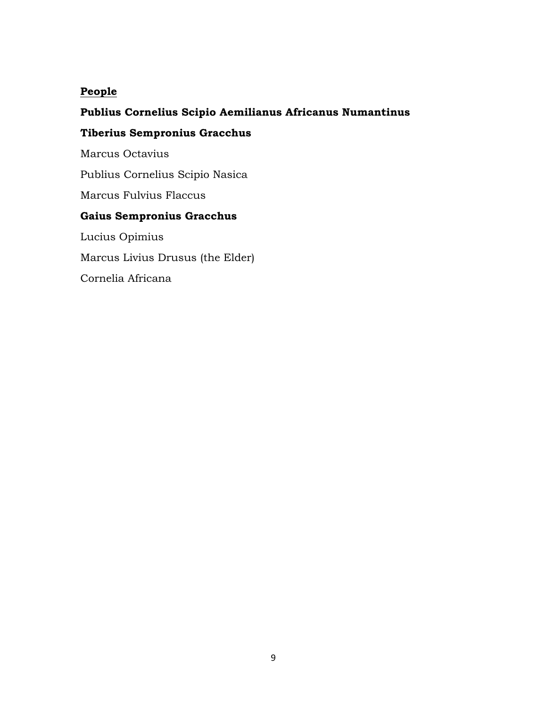## **People**

## **Publius Cornelius Scipio Aemilianus Africanus Numantinus**

## **Tiberius Sempronius Gracchus**

Marcus Octavius

Publius Cornelius Scipio Nasica

Marcus Fulvius Flaccus

## **Gaius Sempronius Gracchus**

Lucius Opimius Marcus Livius Drusus (the Elder) Cornelia Africana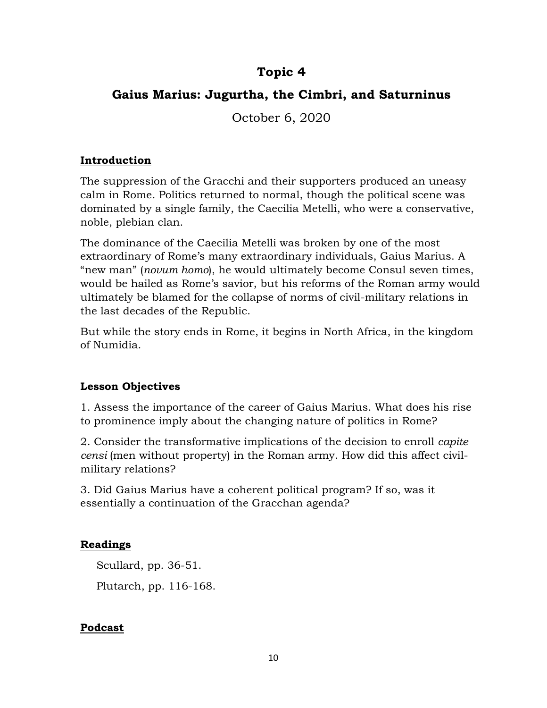# **Topic 4**

# **Gaius Marius: Jugurtha, the Cimbri, and Saturninus**

October 6, 2020

## **Introduction**

The suppression of the Gracchi and their supporters produced an uneasy calm in Rome. Politics returned to normal, though the political scene was dominated by a single family, the Caecilia Metelli, who were a conservative, noble, plebian clan.

The dominance of the Caecilia Metelli was broken by one of the most extraordinary of Rome's many extraordinary individuals, Gaius Marius. A "new man" (*novum homo*), he would ultimately become Consul seven times, would be hailed as Rome's savior, but his reforms of the Roman army would ultimately be blamed for the collapse of norms of civil-military relations in the last decades of the Republic.

But while the story ends in Rome, it begins in North Africa, in the kingdom of Numidia.

## **Lesson Objectives**

1. Assess the importance of the career of Gaius Marius. What does his rise to prominence imply about the changing nature of politics in Rome?

2. Consider the transformative implications of the decision to enroll *capite censi* (men without property) in the Roman army. How did this affect civilmilitary relations?

3. Did Gaius Marius have a coherent political program? If so, was it essentially a continuation of the Gracchan agenda?

## **Readings**

Scullard, pp. 36-51. Plutarch, pp. 116-168.

## **Podcast**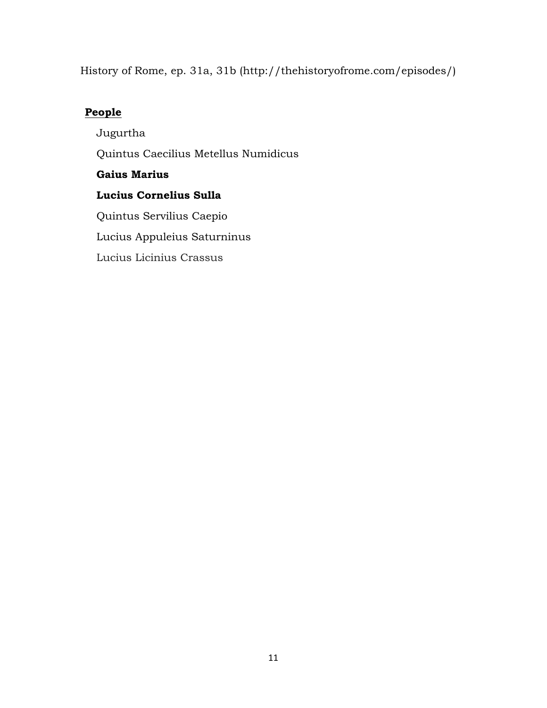History of Rome, ep. 31a, 31b (http://thehistoryofrome.com/episodes/)

## **People**

Jugurtha Quintus Caecilius Metellus Numidicus **Gaius Marius Lucius Cornelius Sulla** Quintus Servilius Caepio Lucius Appuleius Saturninus Lucius Licinius Crassus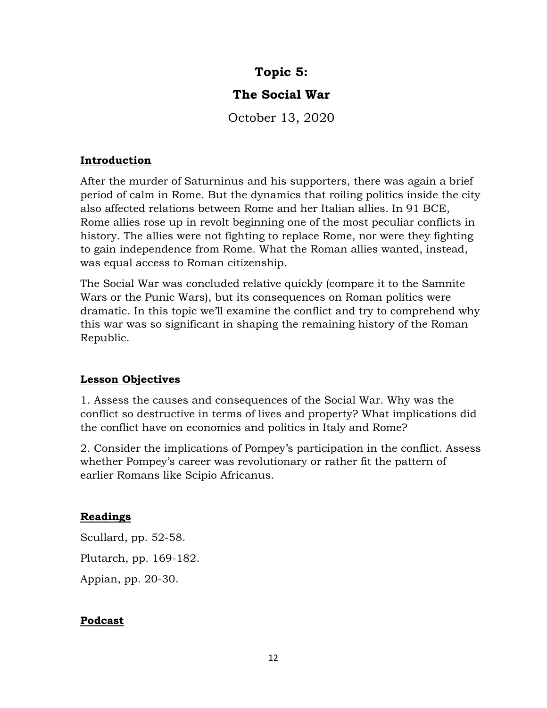# **Topic 5:**

# **The Social War**

October 13, 2020

## **Introduction**

After the murder of Saturninus and his supporters, there was again a brief period of calm in Rome. But the dynamics that roiling politics inside the city also affected relations between Rome and her Italian allies. In 91 BCE, Rome allies rose up in revolt beginning one of the most peculiar conflicts in history. The allies were not fighting to replace Rome, nor were they fighting to gain independence from Rome. What the Roman allies wanted, instead, was equal access to Roman citizenship.

The Social War was concluded relative quickly (compare it to the Samnite Wars or the Punic Wars), but its consequences on Roman politics were dramatic. In this topic we'll examine the conflict and try to comprehend why this war was so significant in shaping the remaining history of the Roman Republic.

## **Lesson Objectives**

1. Assess the causes and consequences of the Social War. Why was the conflict so destructive in terms of lives and property? What implications did the conflict have on economics and politics in Italy and Rome?

2. Consider the implications of Pompey's participation in the conflict. Assess whether Pompey's career was revolutionary or rather fit the pattern of earlier Romans like Scipio Africanus.

## **Readings**

Scullard, pp. 52-58. Plutarch, pp. 169-182. Appian, pp. 20-30.

## **Podcast**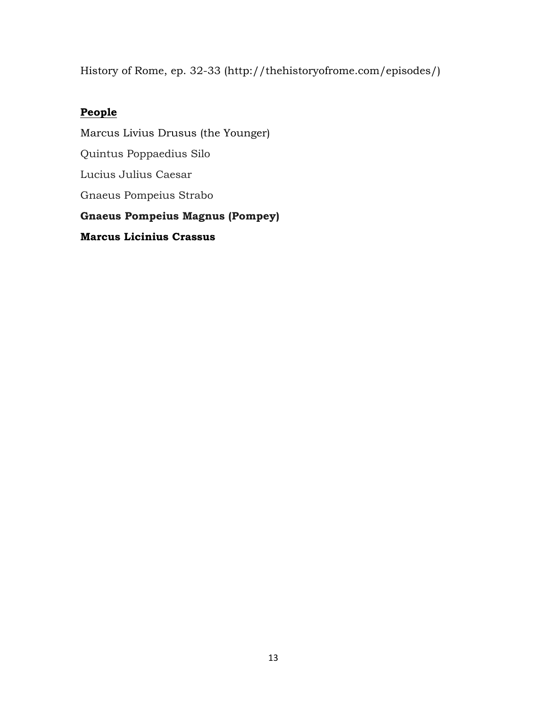History of Rome, ep. 32-33 (http://thehistoryofrome.com/episodes/)

# **People**

Marcus Livius Drusus (the Younger) Quintus Poppaedius Silo Lucius Julius Caesar Gnaeus Pompeius Strabo **Gnaeus Pompeius Magnus (Pompey) Marcus Licinius Crassus**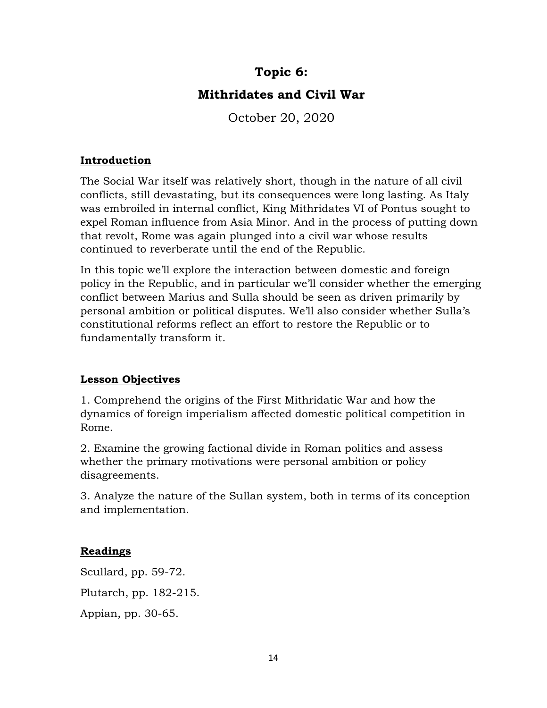# **Topic 6:**

# **Mithridates and Civil War**

October 20, 2020

## **Introduction**

The Social War itself was relatively short, though in the nature of all civil conflicts, still devastating, but its consequences were long lasting. As Italy was embroiled in internal conflict, King Mithridates VI of Pontus sought to expel Roman influence from Asia Minor. And in the process of putting down that revolt, Rome was again plunged into a civil war whose results continued to reverberate until the end of the Republic.

In this topic we'll explore the interaction between domestic and foreign policy in the Republic, and in particular we'll consider whether the emerging conflict between Marius and Sulla should be seen as driven primarily by personal ambition or political disputes. We'll also consider whether Sulla's constitutional reforms reflect an effort to restore the Republic or to fundamentally transform it.

## **Lesson Objectives**

1. Comprehend the origins of the First Mithridatic War and how the dynamics of foreign imperialism affected domestic political competition in Rome.

2. Examine the growing factional divide in Roman politics and assess whether the primary motivations were personal ambition or policy disagreements.

3. Analyze the nature of the Sullan system, both in terms of its conception and implementation.

## **Readings**

Scullard, pp. 59-72. Plutarch, pp. 182-215. Appian, pp. 30-65.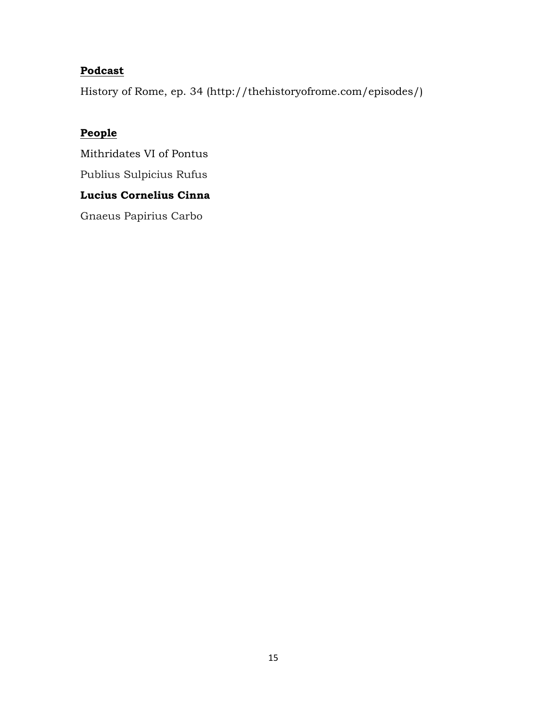# **Podcast**

History of Rome, ep. 34 (http://thehistoryofrome.com/episodes/)

# **People**

Mithridates VI of Pontus Publius Sulpicius Rufus **Lucius Cornelius Cinna**

Gnaeus Papirius Carbo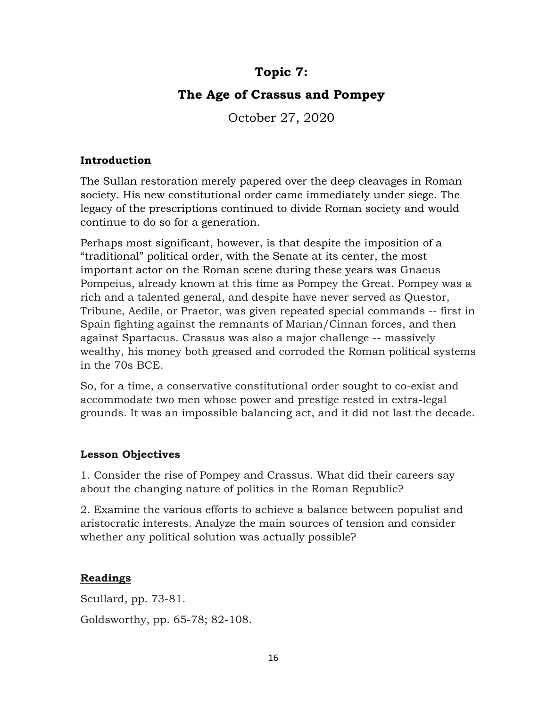# **Topic 7:**

# **The Age of Crassus and Pompey**

October 27, 2020

#### **Introduction**

The Sullan restoration merely papered over the deep cleavages in Roman society. His new constitutional order came immediately under siege. The legacy of the prescriptions continued to divide Roman society and would continue to do so for a generation.

Perhaps most significant, however, is that despite the imposition of a "traditional" political order, with the Senate at its center, the most important actor on the Roman scene during these years was Gnaeus Pompeius, already known at this time as Pompey the Great. Pompey was a rich and a talented general, and despite have never served as Questor, Tribune, Aedile, or Praetor, was given repeated special commands -- first in Spain fighting against the remnants of Marian/Cinnan forces, and then against Spartacus. Crassus was also a major challenge -- massively wealthy, his money both greased and corroded the Roman political systems in the 70s BCE.

So, for a time, a conservative constitutional order sought to co-exist and accommodate two men whose power and prestige rested in extra-legal grounds. It was an impossible balancing act, and it did not last the decade.

## **Lesson Objectives**

1. Consider the rise of Pompey and Crassus. What did their careers say about the changing nature of politics in the Roman Republic?

2. Examine the various efforts to achieve a balance between populist and aristocratic interests. Analyze the main sources of tension and consider whether any political solution was actually possible?

## **Readings**

Scullard, pp. 73-81. Goldsworthy, pp. 65-78; 82-108.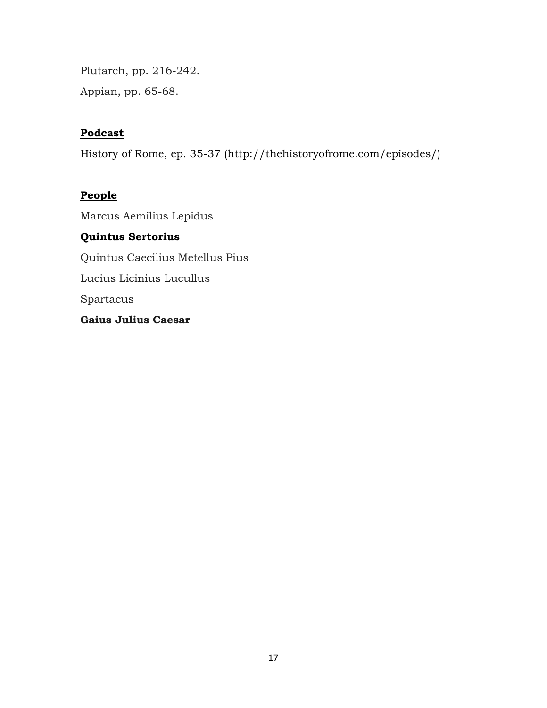Plutarch, pp. 216-242. Appian, pp. 65-68.

## **Podcast**

History of Rome, ep. 35-37 (http://thehistoryofrome.com/episodes/)

## **People**

Marcus Aemilius Lepidus **Quintus Sertorius** Quintus Caecilius Metellus Pius Lucius Licinius Lucullus Spartacus **Gaius Julius Caesar**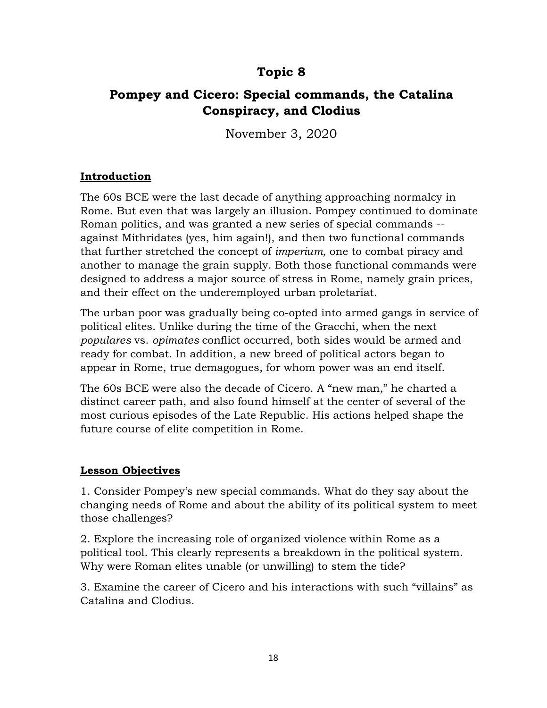# **Topic 8**

# **Pompey and Cicero: Special commands, the Catalina Conspiracy, and Clodius**

November 3, 2020

## **Introduction**

The 60s BCE were the last decade of anything approaching normalcy in Rome. But even that was largely an illusion. Pompey continued to dominate Roman politics, and was granted a new series of special commands - against Mithridates (yes, him again!), and then two functional commands that further stretched the concept of *imperium*, one to combat piracy and another to manage the grain supply. Both those functional commands were designed to address a major source of stress in Rome, namely grain prices, and their effect on the underemployed urban proletariat.

The urban poor was gradually being co-opted into armed gangs in service of political elites. Unlike during the time of the Gracchi, when the next *populares* vs. *opimates* conflict occurred, both sides would be armed and ready for combat. In addition, a new breed of political actors began to appear in Rome, true demagogues, for whom power was an end itself.

The 60s BCE were also the decade of Cicero. A "new man," he charted a distinct career path, and also found himself at the center of several of the most curious episodes of the Late Republic. His actions helped shape the future course of elite competition in Rome.

## **Lesson Objectives**

1. Consider Pompey's new special commands. What do they say about the changing needs of Rome and about the ability of its political system to meet those challenges?

2. Explore the increasing role of organized violence within Rome as a political tool. This clearly represents a breakdown in the political system. Why were Roman elites unable (or unwilling) to stem the tide?

3. Examine the career of Cicero and his interactions with such "villains" as Catalina and Clodius.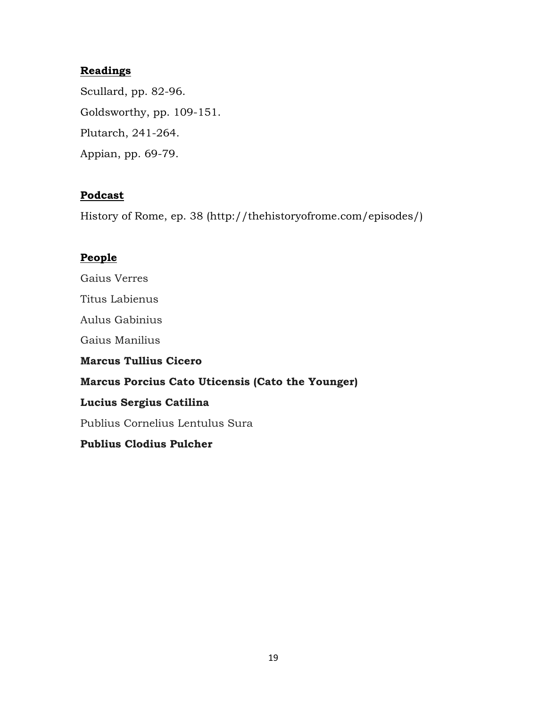## **Readings**

Scullard, pp. 82-96. Goldsworthy, pp. 109-151. Plutarch, 241-264. Appian, pp. 69-79.

#### **Podcast**

History of Rome, ep. 38 (http://thehistoryofrome.com/episodes/)

#### **People**

Gaius Verres Titus Labienus Aulus Gabinius Gaius Manilius **Marcus Tullius Cicero Marcus Porcius Cato Uticensis (Cato the Younger) Lucius Sergius Catilina** Publius Cornelius Lentulus Sura

# **Publius Clodius Pulcher**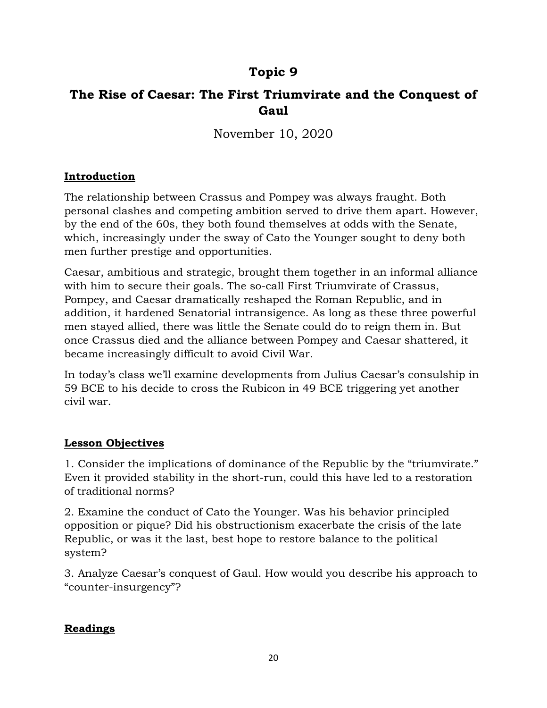# **Topic 9**

# **The Rise of Caesar: The First Triumvirate and the Conquest of Gaul**

November 10, 2020

## **Introduction**

The relationship between Crassus and Pompey was always fraught. Both personal clashes and competing ambition served to drive them apart. However, by the end of the 60s, they both found themselves at odds with the Senate, which, increasingly under the sway of Cato the Younger sought to deny both men further prestige and opportunities.

Caesar, ambitious and strategic, brought them together in an informal alliance with him to secure their goals. The so-call First Triumvirate of Crassus, Pompey, and Caesar dramatically reshaped the Roman Republic, and in addition, it hardened Senatorial intransigence. As long as these three powerful men stayed allied, there was little the Senate could do to reign them in. But once Crassus died and the alliance between Pompey and Caesar shattered, it became increasingly difficult to avoid Civil War.

In today's class we'll examine developments from Julius Caesar's consulship in 59 BCE to his decide to cross the Rubicon in 49 BCE triggering yet another civil war.

## **Lesson Objectives**

1. Consider the implications of dominance of the Republic by the "triumvirate." Even it provided stability in the short-run, could this have led to a restoration of traditional norms?

2. Examine the conduct of Cato the Younger. Was his behavior principled opposition or pique? Did his obstructionism exacerbate the crisis of the late Republic, or was it the last, best hope to restore balance to the political system?

3. Analyze Caesar's conquest of Gaul. How would you describe his approach to "counter-insurgency"?

## **Readings**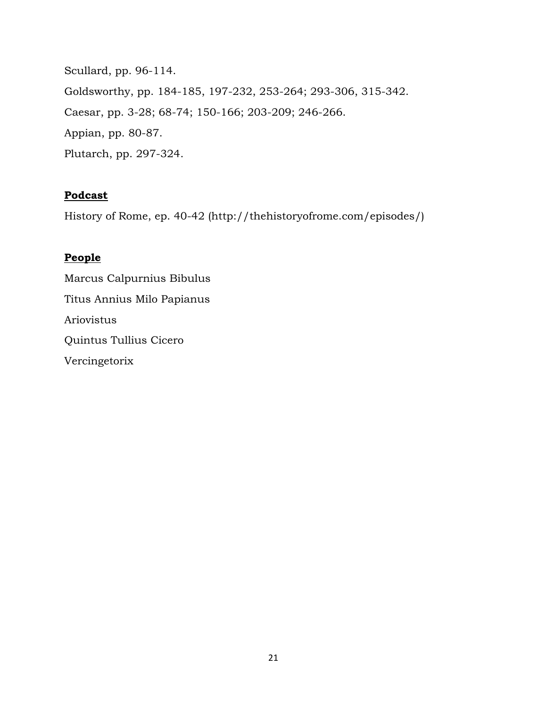Scullard, pp. 96-114. Goldsworthy, pp. 184-185, 197-232, 253-264; 293-306, 315-342. Caesar, pp. 3-28; 68-74; 150-166; 203-209; 246-266. Appian, pp. 80-87. Plutarch, pp. 297-324.

#### **Podcast**

History of Rome, ep. 40-42 (http://thehistoryofrome.com/episodes/)

# **People**

Marcus Calpurnius Bibulus Titus Annius Milo Papianus Ariovistus Quintus [Tullius](https://en.wikipedia.org/wiki/Tullius) Cicero Vercingetorix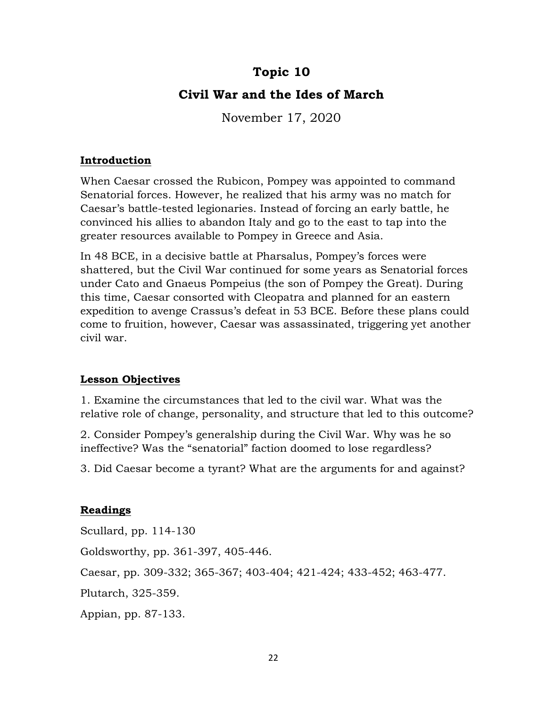# **Topic 10**

# **Civil War and the Ides of March**

November 17, 2020

#### **Introduction**

When Caesar crossed the Rubicon, Pompey was appointed to command Senatorial forces. However, he realized that his army was no match for Caesar's battle-tested legionaries. Instead of forcing an early battle, he convinced his allies to abandon Italy and go to the east to tap into the greater resources available to Pompey in Greece and Asia.

In 48 BCE, in a decisive battle at Pharsalus, Pompey's forces were shattered, but the Civil War continued for some years as Senatorial forces under Cato and Gnaeus Pompeius (the son of Pompey the Great). During this time, Caesar consorted with Cleopatra and planned for an eastern expedition to avenge Crassus's defeat in 53 BCE. Before these plans could come to fruition, however, Caesar was assassinated, triggering yet another civil war.

## **Lesson Objectives**

1. Examine the circumstances that led to the civil war. What was the relative role of change, personality, and structure that led to this outcome?

2. Consider Pompey's generalship during the Civil War. Why was he so ineffective? Was the "senatorial" faction doomed to lose regardless?

3. Did Caesar become a tyrant? What are the arguments for and against?

## **Readings**

Scullard, pp. 114-130 Goldsworthy, pp. 361-397, 405-446. Caesar, pp. 309-332; 365-367; 403-404; 421-424; 433-452; 463-477. Plutarch, 325-359. Appian, pp. 87-133.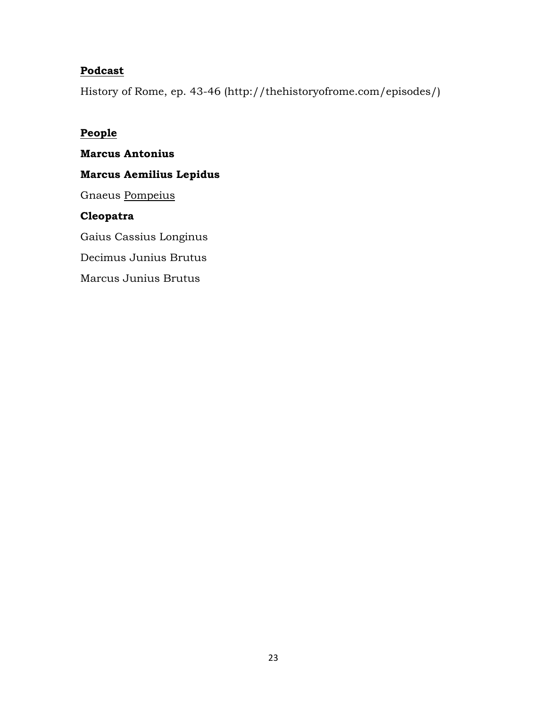## **Podcast**

History of Rome, ep. 43-46 (http://thehistoryofrome.com/episodes/)

#### **People**

**Marcus Antonius Marcus Aemilius Lepidus**  Gnaeus [Pompeius](https://en.wikipedia.org/wiki/Pompeius) **Cleopatra** Gaius Cassius Longinus Decimus Junius Brutus Marcus Junius Brutus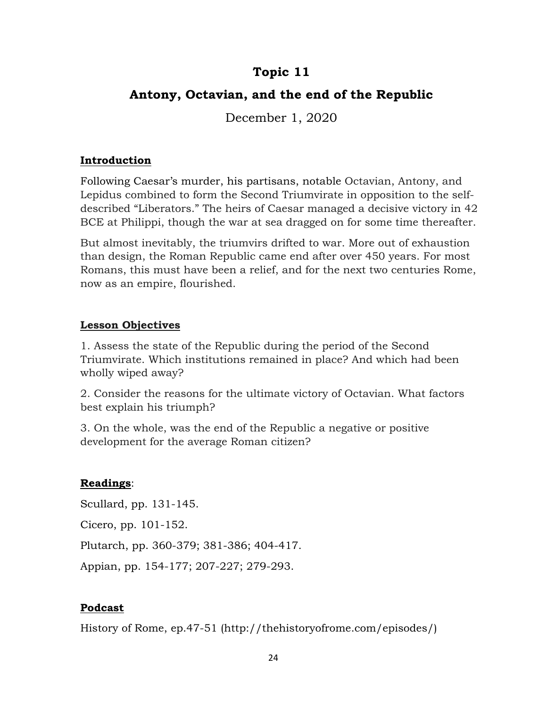# **Topic 11**

# **Antony, Octavian, and the end of the Republic**

December 1, 2020

#### **Introduction**

Following Caesar's murder, his partisans, notable Octavian, Antony, and Lepidus combined to form the Second Triumvirate in opposition to the selfdescribed "Liberators." The heirs of Caesar managed a decisive victory in 42 BCE at Philippi, though the war at sea dragged on for some time thereafter.

But almost inevitably, the triumvirs drifted to war. More out of exhaustion than design, the Roman Republic came end after over 450 years. For most Romans, this must have been a relief, and for the next two centuries Rome, now as an empire, flourished.

## **Lesson Objectives**

1. Assess the state of the Republic during the period of the Second Triumvirate. Which institutions remained in place? And which had been wholly wiped away?

2. Consider the reasons for the ultimate victory of Octavian. What factors best explain his triumph?

3. On the whole, was the end of the Republic a negative or positive development for the average Roman citizen?

## **Readings**:

Scullard, pp. 131-145.

Cicero, pp. 101-152.

Plutarch, pp. 360-379; 381-386; 404-417.

Appian, pp. 154-177; 207-227; 279-293.

## **Podcast**

History of Rome, ep.47-51 (http://thehistoryofrome.com/episodes/)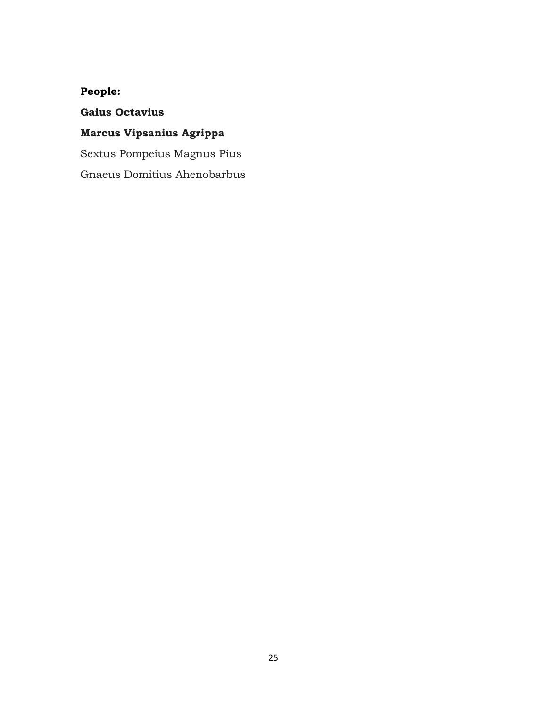# **People:**

# **Gaius Octavius**

## **Marcus Vipsanius Agrippa**

Sextus Pompeius Magnus Pius

Gnaeus Domitius Ahenobarbus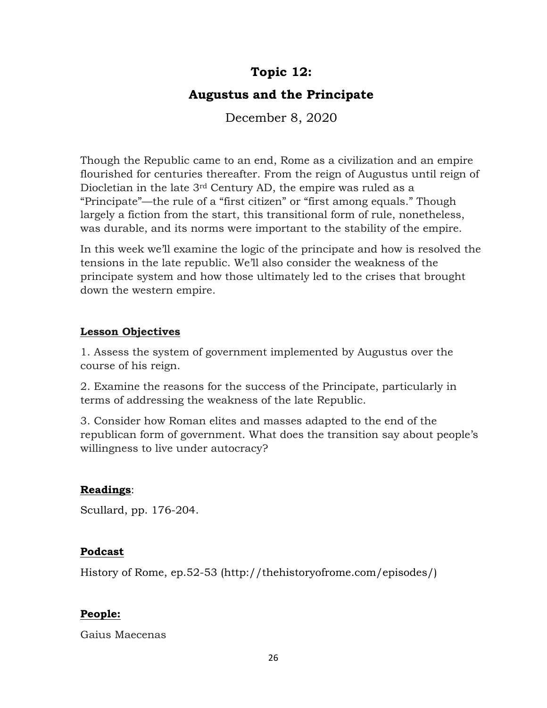# **Topic 12:**

# **Augustus and the Principate**

December 8, 2020

Though the Republic came to an end, Rome as a civilization and an empire flourished for centuries thereafter. From the reign of Augustus until reign of Diocletian in the late 3rd Century AD, the empire was ruled as a "Principate"—the rule of a "first citizen" or "first among equals." Though largely a fiction from the start, this transitional form of rule, nonetheless, was durable, and its norms were important to the stability of the empire.

In this week we'll examine the logic of the principate and how is resolved the tensions in the late republic. We'll also consider the weakness of the principate system and how those ultimately led to the crises that brought down the western empire.

## **Lesson Objectives**

1. Assess the system of government implemented by Augustus over the course of his reign.

2. Examine the reasons for the success of the Principate, particularly in terms of addressing the weakness of the late Republic.

3. Consider how Roman elites and masses adapted to the end of the republican form of government. What does the transition say about people's willingness to live under autocracy?

## **Readings**:

Scullard, pp. 176-204.

## **Podcast**

History of Rome, ep.52-53 (http://thehistoryofrome.com/episodes/)

## **People:**

Gaius Maecenas